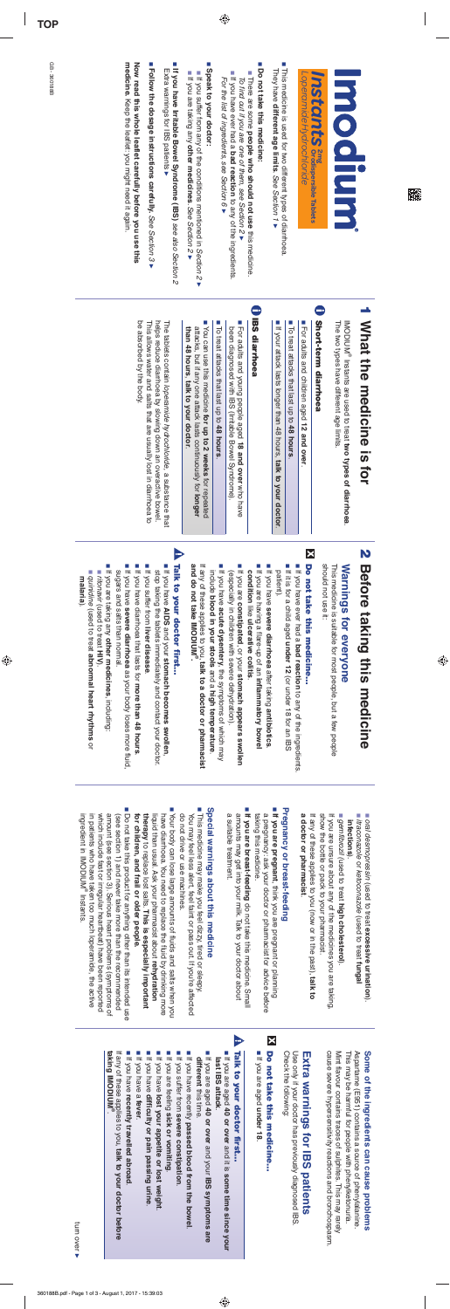**TOP**

GB - 360188B

GB-360188B

 $\begin{array}{c} \hline \end{array}$ 

魇

 $\bigcirc$ 

| medicine. Keep the leatlet: you might need it again.<br>Now read this whole leaflet carefully before you use this<br>■ Follow the dosage instructions carefully. See Section 3<br>If you have Irritable Bowel Syndrome (IBS) see also Section 2<br>Extra warnings for IBS patients                                                                                                                                                                                                                               | Speak to your doctor<br>■ If you suffer from any of the conditions mentioned in Section 2 ▶<br>If you are taking any other medicines. See Section 2                                                           | ×,<br>Do not take this medicine:<br>If you have ever had a bad reaction to any of the ingredients<br>There are some people who should not use this medicine.<br>For the list of ingredients, see Section 6<br>To find out if you are one of them, see Section 2 ▶                                                             | This medicine is used for two different types of diarrhoea.<br>They have different age limits. See Section 1 ▶                             | Loperamide Hydrochloride<br><b>Instants</b> and the crocispersible Tablets  | <b>Hoodium</b>                                                                                                                                       |
|------------------------------------------------------------------------------------------------------------------------------------------------------------------------------------------------------------------------------------------------------------------------------------------------------------------------------------------------------------------------------------------------------------------------------------------------------------------------------------------------------------------|---------------------------------------------------------------------------------------------------------------------------------------------------------------------------------------------------------------|-------------------------------------------------------------------------------------------------------------------------------------------------------------------------------------------------------------------------------------------------------------------------------------------------------------------------------|--------------------------------------------------------------------------------------------------------------------------------------------|-----------------------------------------------------------------------------|------------------------------------------------------------------------------------------------------------------------------------------------------|
| be absorbed by the body.<br>helps reduce diarrhoea by slowing down an overactive bowel.<br>The tablets contain loperamide hydrochloride, a substance that<br>This allows water and salts that are usually lost in diarrhoea to                                                                                                                                                                                                                                                                                   | To treat attacks that last up to 48 hours.<br>You can use this medicine for up to 2 weeks for repeated<br>than 48 hours, talk to your doctor.<br>attacks, but if any one attack lasts continuously for longer | <b>BS diarrhoea</b><br>For adults and young people aged 18 and over who have<br>been diagnosed with IBS (Irritable Bowel Syndrome).                                                                                                                                                                                           | If your attack lasts longer than 48 hours, talk to your doctor.<br>■ To treat attacks that last up to 48 hours.                            | <b>Short-term diarrhoea</b><br>For adults and children aged 12 and<br>over. | 1 What the medicine<br>The two types have different age limits.<br>IMODIUM <sup>®</sup> Instants are used to treat two types of diarrhoea.<br>is for |
| P<br>Talk to your doctor first<br>If you are taking any other medicines, including:<br>■ If you suffer from liver disease<br>If you have diarrhoea that lasts for more than 48 hours<br>If you have AIDS and your stomach becomes swollen,<br>If you have severe diarrhoea as your body loses more fluid,<br>sugars and salts than normal.<br>stop taking the tablets immediately and contact your doctor.<br>quinidine (used to treat abnormal heart rhythms or<br>■ ritorakir (used to treat HN).<br>malaria). | and do not take IMODIUM <sup>®</sup><br>If any of these applies to you, talk to a doctor or pharmacist<br>include blood in your stools and a high temperature                                                 | If you are constipated, or your stomach appears swollen<br>If you have acute dysentery, the symptoms of which may<br>If you are having a flare-up of an inflammatory bowel<br>If you have severe diarrhoea after taking antibiotics<br>(especially in children with severe dehydration)<br>condition like ulcerative collins. | If you have ever had a bad reaction to any of the ingredients<br>■ If it is for a child aged under 12 (or under 18 for an IBS<br>patient). | X<br>Do not take this medicine<br>should not use it:                        | <b>2</b> Before taking this medicine<br>This medicine is suitable for most people, but a few people<br>Warnings for everyone                         |

a doctor or pharmacist. show the bottle or pack to your pharmacist. If you are unsure about any of the medicines you are taking If any of these applies to you (now or in the past), talk to **a doctor or pharmacist**If any of these applies to you (now or in the past), show the bottle or pack to your pharmacist. If you are unsure about any of the medicines you are taking,

### Pregnancy or breast-feeding **Pregnancy or breast-feeding**

■ If you are pregnant, think you are pregnant or planning<br>a pregnancy: ask your doctor or pharmacist for advice before taking this medicine. taking this medicine. a pregnancy: ask your doctor or pharmacist for advice before **If you are pregnant**, think you are pregnant or planning

■ If you are breast-feeding do not take this medicine. Small a suitable treatment. amounts may get into your milk. Talk to your doctor about a suitable treatment. amounts may get into your milk. Talk to your doctor about **If you are breast-feeding** do not take this medicine. Small

### Special warnings about this medicine **Special warnings about this medicine**

- This medicine may make you feel dizzy, tired or sleepy. do not drive or use machines. You may feel less alert, feel faint or pass out. If you're affected do not drive or use machines. You may feel less alert, feel faint or pass out. If you're affected This medicine may make you feel dizzy, tired or sleepy.
- Your body can lose large amounts of fluids and salts when you for children, and frail or older people. therapy to replace lost salts. This is especially important liquid than usual. Ask your pharmacist about rehydration have diarrhoea. You need to replace the fluid by drinking more **for children, and frail or older people.** liquid than usual. Ask your pharmacist about have diarrhoea. You need to replace the fluid by drinking more Your body can lose large amounts of fluids and salts when you to replace lost salts. **This is especially important rehydration**
- Do not take this product for anything other than its intended use in patients who have taken too much loperamide, the active<br>ingredient in IMODIUM® Instants. which include fast or irregular heartbeat) have been reported amount (see section 3). Serious heart problems (symptoms of ingredient in IMODIUM in patients who have taken too much loperamide, the active which include fast or irregular heartbeat) have been reported amount (see section 3). Serious heart problems (symptoms of (see section 1) and never take more than the recommended (see section 1) and never take more than the recommended Do not take this product for anything other than its intended use

 $\bigcirc$ 

#### $\overline{\mathbf{x}}$ Do not take this medicine... **Do not take this medicine…**

Check the following: Use only if your doctor has previously diagnosed IBS Check the following: Use only if your doctor has previously diagnosed IBS.

### Extra warnings for IBS patients **Extra warnings for IBS patients**

cause severe hypersensitivity reactions and bronchospasm. Mint flavour contains traces of sulphites. This may rarely This may be harmful for people with phenylketonuria. Aspartame (E951) contains a source of phenylalanine This may be harmful for people with phenylketonuria. Aspartame (E951) contains a source of phenylalanine. cause severe hypersensitivity reactions and bronchospasm. Mint flavour contains traces of sulphites. This may rarely

### Some of the ingredients can cause problems **Some of the ingredients can cause problems**

■ If you are aged **40 or over** and it is **some time since your last IBS attack**last IBS attack.

◈

#### $\blacktriangleright$ Talk to your doctor first... **Talk to your doctor first…**

- different this time. **different** If you are aged this time. **40 or over** and your **IBS symptoms are**
- If you have recently **passed blood from the bowel**
- If you suffer from **severe constipation**If you suffer from severe constipation.
- 
- If you are feeling **sick or vomiting**
- If you have **lost your appetite or lost weight**
- If you have **difficulty or pain passing urine**
- If you have a **fever**.
- If you have **recently travelled abroad**It you have recently travelled abroad.

taking IMODIUM<sup>®</sup> **taking IMODIUM®** If any of these applies to you, talk to your doctor before If any of these applies to you, **talk to your doctor before** 

■ *oral desmopressin* (used to treat **excessive urination**).

- *itraconazole* or *ketoconazole* (used to treat **fungal infections**infections)
- *gemfibrozil (*used to treat **high cholesterol**).

■ If you are aged **under 18**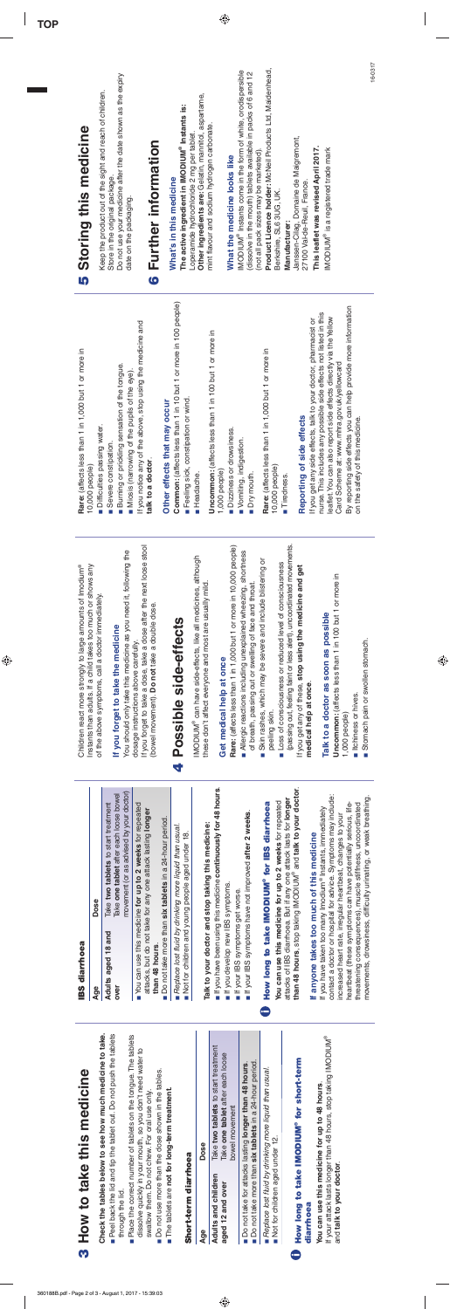# 3 How to take this medicine **3 How to take this medicine**

**Check the tables below to see how much medicine to take.** Check the tables below to see how much medicine to take

- **Peel back the lid and tip the tablet out. Do not push the tablets** ■ Peel back the lid and tip the tablet out. Do not push the tablet through the lid. through the lid.
	- Place the correct number of tablets on the tongue. The tablets ■ Place the correct number of tablets on the tongue. The tablet dissolve quickly in your mouth, so you don't need water to dissolve quickly in your mouth, so you don't need water to swallow them. Do not chew. For oral use only. swallow them. Do not chew. For oral use only
		- Do not use more than the dose shown in the tables. **Do not use more than the dose shown in the tables.**
- The tablets are not for long-term treatment. The tablets are **not for long-term treatment.**

### Short-term diarrhoea **Short-term diarrhoea**

 $\Delta$ Oe

## diarrhoea **diarrhoea**

| <b>Age</b>          | Jose                                |
|---------------------|-------------------------------------|
| Adults and children | Take two tablets to start treatment |
| aged 12 and over    | Take one tablet after each loose    |
|                     | powel movement                      |

◈

- Do not take for attacks lasting longer than 48 hours. Do not take for attacks lasting **longer than 48 hours**.
- Do not take more than six tablets in a 24-hour period Do not take more than **six tablets** in a 24-hour period.
	- Replace lost fluid by drinking more liquid than usual. *Replace lost fluid by drinking more liquid than usual.* Not for children aged under 12. Not for children aged under 12.
- **How long to take IMODIUM® for short-term U** How long to take IMODIUM<sup>®</sup> for short-term

If your attack lasts longer than 48 hours, stop taking IMODIUM® If your attack lasts longer than 48 hours, stop taking IMODIUM You can use this medicine for up to 48 hours. **You can use this medicine for up to 48 hours**. and talk to your doctor. and **talk to your doctor**.

**IBS diarrhoea**

**IBS diarrhoea** 

| If anyone takes too much of this medicine<br>If you develop new IBS symptoms.<br>If your IBS symptoms get worse.<br>Adults aged 18 and<br>than 48 hours.<br>over<br>øΪ<br>S)<br>ဖ | Age | Dose                                                                                                                                                                                                                  |
|-----------------------------------------------------------------------------------------------------------------------------------------------------------------------------------|-----|-----------------------------------------------------------------------------------------------------------------------------------------------------------------------------------------------------------------------|
| $\circledR$                                                                                                                                                                       |     | movement (or as advised by your doctor)<br>Take one tablet after each loose bowel<br>Take two tablets to start treatment                                                                                              |
|                                                                                                                                                                                   |     | You can use this medicine for up to 2 weeks for repeated<br>attacks, but do not take for any one attack lasting longer                                                                                                |
|                                                                                                                                                                                   |     | Do not take more than six tablets in a 24-hour period.                                                                                                                                                                |
|                                                                                                                                                                                   |     | Replace lost fluid by drinking more liquid than usual.<br>Not for children and young people aged under 18.                                                                                                            |
|                                                                                                                                                                                   |     | Talk to your doctor and stop taking this medicine:                                                                                                                                                                    |
|                                                                                                                                                                                   |     | If you have been using this medicine continuously for 48 hours.                                                                                                                                                       |
|                                                                                                                                                                                   |     |                                                                                                                                                                                                                       |
|                                                                                                                                                                                   |     | If your IBS symptoms have not improved after 2 weeks.                                                                                                                                                                 |
|                                                                                                                                                                                   |     | How long to take IMODIUM® for IBS diarrhoea                                                                                                                                                                           |
|                                                                                                                                                                                   |     | attacks of IBS diarrhoea. But if any one attack lasts for l <b>onger</b><br>t <b>han 48 hours</b> , stop taking IMODIUM® and <b>talk to your doctor</b> .<br>You can use this medicine for up to 2 weeks for repeated |
|                                                                                                                                                                                   |     |                                                                                                                                                                                                                       |
|                                                                                                                                                                                   |     | contact a doctor or hospital for advice. Symptoms may include:<br>If you have taken too many Imodium® Instants, immediately                                                                                           |
|                                                                                                                                                                                   |     | increased heart rate, irregular heartbeat, changes to your                                                                                                                                                            |
|                                                                                                                                                                                   |     | heartbeat (these symptoms can have potentially serious, life-                                                                                                                                                         |
|                                                                                                                                                                                   |     | movements, drowsiness, difficulty urinating, or weak breathing.<br>threatening consequences), muscle stiffness, uncoordinated                                                                                         |

 $\bigcirc\hspace{-1.45mm}\bigcirc$ 

**4 Possible side-effects**

4 Possible side-effects

 $\bigoplus$ 

 $\begin{array}{c} \hline \end{array}$ 

| Children react more strongly to large amounts of Imodium®<br>Instants than adults. If a child takes too much or shows any                                    | in 1,000 but 1 or more in<br>Rare: (affects less than 1<br>10,000 people)                                                              | Storing this medicine<br>lĄ                                                                       |
|--------------------------------------------------------------------------------------------------------------------------------------------------------------|----------------------------------------------------------------------------------------------------------------------------------------|---------------------------------------------------------------------------------------------------|
| of the above symptoms, call a doctor immediately.                                                                                                            | Difficulties passing water.                                                                                                            | Keep the product out of the sight and reach of children.                                          |
| If you forget to take the medicine                                                                                                                           | Severe constipation.                                                                                                                   | Do not use your medicine after the date shown as the expiry<br>Store in the original package.     |
| You should only take this medicine as you need it, following the                                                                                             | Burning or prickling sensation of the tongue.<br>Miosis (narrowing of the pupils of the eye).                                          | date on the packaging.                                                                            |
| If you forget to take a dose, take a dose after the next loose stool<br>(bowel movement). Do not take a double dose.<br>dosage instructions above carefully. | If you notice any of the above, stop using the medicine and<br>talk to a doctor.                                                       | 6 Further information                                                                             |
|                                                                                                                                                              | Other effects that may occur                                                                                                           |                                                                                                   |
| Possible side-effects                                                                                                                                        | Common: (affects less than 1 in 10 but 1 or more in 100 people)                                                                        | What's in this medicine                                                                           |
|                                                                                                                                                              | Feeling sick, constipation or wind.                                                                                                    | The active ingredient in IMODIUM® Instants is:                                                    |
| IMODIUM® can have side-effects, like all medicines, although                                                                                                 | Headache.                                                                                                                              | Other ingredients are: Gelatin, mannitol, aspartame,<br>Loperamide hydrochloride 2 mg per tablet. |
| these don't affect everyone and most are usually mild                                                                                                        | Uncommon: (affects less than 1 in 100 but 1 or more in                                                                                 | mint flavour and sodium hydrogen carbonate.                                                       |
| Get medical help at once                                                                                                                                     | 1,000 people)                                                                                                                          |                                                                                                   |
| Rare: (affects less than 1 in 1,000 but 1 or more in 10,000 people)                                                                                          | Dizziness or drowsiness.                                                                                                               | What the medicine looks like                                                                      |
| Allergic reactions including unexplained wheezing, shortness                                                                                                 | Vomiting, indigestion.                                                                                                                 | IMODIUM® Instants come in the form of white, orodispersible                                       |
| of breath, passing out or swelling of face and throat                                                                                                        | Dry mouth.                                                                                                                             | (dissolve in the mouth) tablets available in packs of 6 and 12                                    |
| Skin rashes, which may be severe and include blistering or<br>Ē.                                                                                             | in 1,000 but 1 or more in<br>Rare: (affects less than 1                                                                                | (not all pack sizes may be marketed).                                                             |
| peeling skin.                                                                                                                                                | 10,000 people)                                                                                                                         | Product Licence holder: McNeil Products Ltd, Maidenhead,<br>Berkshire, SL6 3UG, UK.               |
| Loss of consciousness or reduced level of consciousness                                                                                                      | Tiredness.                                                                                                                             | Manufacturer:                                                                                     |
| (passing out, feeling faint or less alert), uncoordinated movements.                                                                                         |                                                                                                                                        | Janssen-Cilag, Domaine de Maigremont,                                                             |
| If you get any of these, stop using the medicine and get                                                                                                     | Reporting of side effects                                                                                                              | 27100 Val-de-Reuil, France.                                                                       |
| medical help at once.                                                                                                                                        | If you get any side effects, talk to your doctor, pharmacist or                                                                        | This leaflet was revised April 2017.                                                              |
| Talk to a doctor as soon as possible                                                                                                                         | nurse. This includes any possible side effects not listed in this<br>leaflet. You can also report side effects directly via the Yellow | IMODIUM® is a registered trade mark                                                               |
| Uncommon: (affects less than 1 in 100 but 1 or more in<br>1,000 people)                                                                                      | Card Scheme at: www.mhra.gov.uk/yellowcard                                                                                             |                                                                                                   |
| tchiness or hives.                                                                                                                                           | By reporting side effects you can help provide more information<br>on the safety of this medicine.                                     |                                                                                                   |
| Stomach pain or swollen stomach.                                                                                                                             |                                                                                                                                        |                                                                                                   |